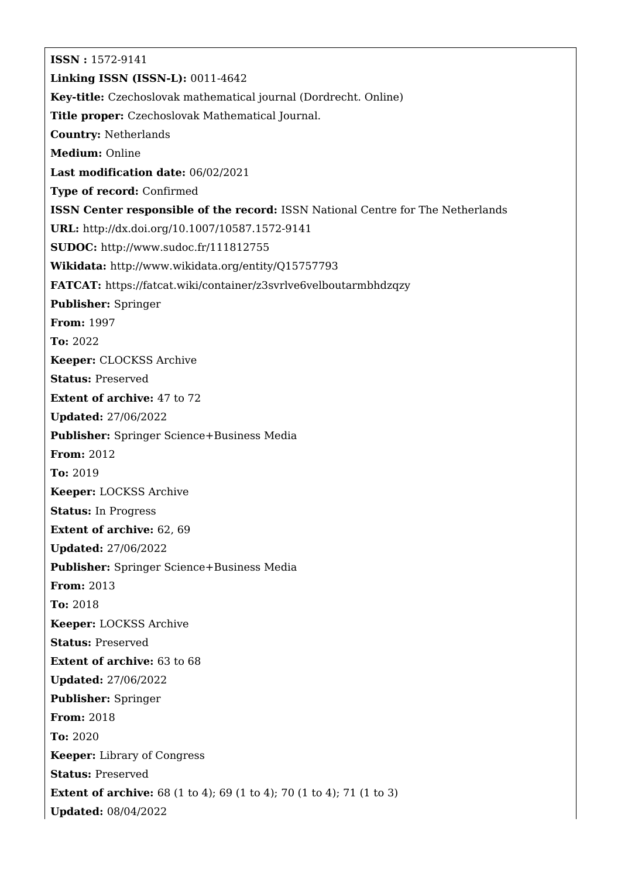**ISSN :** 1572-9141 **Linking ISSN (ISSN-L):** 0011-4642 **Key-title:** Czechoslovak mathematical journal (Dordrecht. Online) **Title proper:** Czechoslovak Mathematical Journal. **Country:** Netherlands **Medium:** Online **Last modification date:** 06/02/2021 **Type of record:** Confirmed **ISSN Center responsible of the record:** ISSN National Centre for The Netherlands **URL:** <http://dx.doi.org/10.1007/10587.1572-9141> **SUDOC:** <http://www.sudoc.fr/111812755> **Wikidata:** <http://www.wikidata.org/entity/Q15757793> **FATCAT:** <https://fatcat.wiki/container/z3svrlve6velboutarmbhdzqzy> **Publisher:** Springer **From:** 1997 **To:** 2022 **Keeper:** CLOCKSS Archive **Status:** Preserved **Extent of archive:** 47 to 72 **Updated:** 27/06/2022 **Publisher:** Springer Science+Business Media **From:** 2012 **To:** 2019 **Keeper:** LOCKSS Archive **Status:** In Progress **Extent of archive:** 62, 69 **Updated:** 27/06/2022 **Publisher:** Springer Science+Business Media **From:** 2013 **To:** 2018 **Keeper:** LOCKSS Archive **Status:** Preserved **Extent of archive:** 63 to 68 **Updated:** 27/06/2022 **Publisher:** Springer **From:** 2018 **To:** 2020 **Keeper:** Library of Congress **Status:** Preserved **Extent of archive:** 68 (1 to 4); 69 (1 to 4); 70 (1 to 4); 71 (1 to 3) **Updated:** 08/04/2022